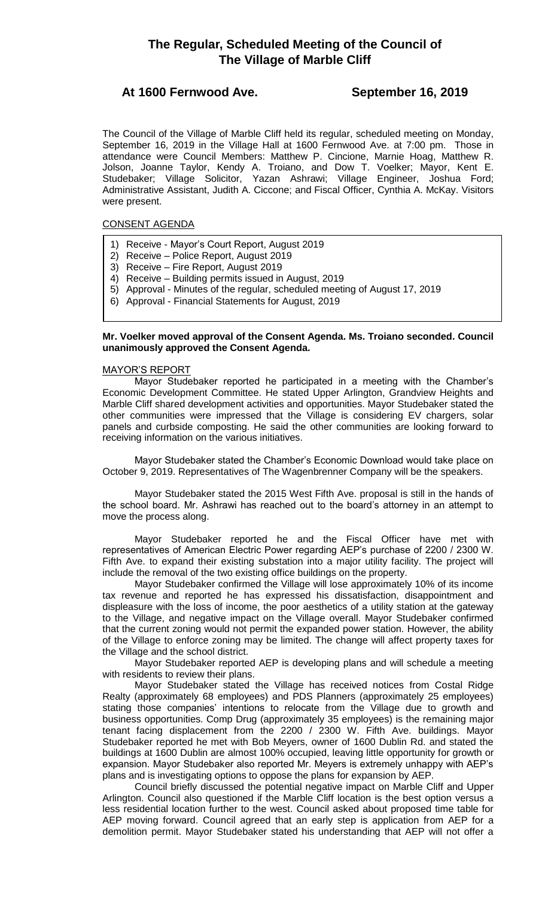# **The Regular, Scheduled Meeting of the Council of The Village of Marble Cliff**

# **At 1600 Fernwood Ave. September 16, 2019**

The Council of the Village of Marble Cliff held its regular, scheduled meeting on Monday, September 16, 2019 in the Village Hall at 1600 Fernwood Ave. at 7:00 pm. Those in attendance were Council Members: Matthew P. Cincione, Marnie Hoag, Matthew R. Jolson, Joanne Taylor, Kendy A. Troiano, and Dow T. Voelker; Mayor, Kent E. Studebaker; Village Solicitor, Yazan Ashrawi; Village Engineer, Joshua Ford; Administrative Assistant, Judith A. Ciccone; and Fiscal Officer, Cynthia A. McKay. Visitors were present.

# CONSENT AGENDA

- 1) Receive Mayor's Court Report, August 2019
- 2) Receive Police Report, August 2019
- 3) Receive Fire Report, August 2019
- 4) Receive Building permits issued in August, 2019
- 5) Approval Minutes of the regular, scheduled meeting of August 17, 2019
- 6) Approval Financial Statements for August, 2019

# **Mr. Voelker moved approval of the Consent Agenda. Ms. Troiano seconded. Council unanimously approved the Consent Agenda.**

# MAYOR'S REPORT

Mayor Studebaker reported he participated in a meeting with the Chamber's Economic Development Committee. He stated Upper Arlington, Grandview Heights and Marble Cliff shared development activities and opportunities. Mayor Studebaker stated the other communities were impressed that the Village is considering EV chargers, solar panels and curbside composting. He said the other communities are looking forward to receiving information on the various initiatives.

Mayor Studebaker stated the Chamber's Economic Download would take place on October 9, 2019. Representatives of The Wagenbrenner Company will be the speakers.

Mayor Studebaker stated the 2015 West Fifth Ave. proposal is still in the hands of the school board. Mr. Ashrawi has reached out to the board's attorney in an attempt to move the process along.

Mayor Studebaker reported he and the Fiscal Officer have met with representatives of American Electric Power regarding AEP's purchase of 2200 / 2300 W. Fifth Ave. to expand their existing substation into a major utility facility. The project will include the removal of the two existing office buildings on the property.

Mayor Studebaker confirmed the Village will lose approximately 10% of its income tax revenue and reported he has expressed his dissatisfaction, disappointment and displeasure with the loss of income, the poor aesthetics of a utility station at the gateway to the Village, and negative impact on the Village overall. Mayor Studebaker confirmed that the current zoning would not permit the expanded power station. However, the ability of the Village to enforce zoning may be limited. The change will affect property taxes for the Village and the school district.

Mayor Studebaker reported AEP is developing plans and will schedule a meeting with residents to review their plans.

Mayor Studebaker stated the Village has received notices from Costal Ridge Realty (approximately 68 employees) and PDS Planners (approximately 25 employees) stating those companies' intentions to relocate from the Village due to growth and business opportunities. Comp Drug (approximately 35 employees) is the remaining major tenant facing displacement from the 2200 / 2300 W. Fifth Ave. buildings. Mayor Studebaker reported he met with Bob Meyers, owner of 1600 Dublin Rd. and stated the buildings at 1600 Dublin are almost 100% occupied, leaving little opportunity for growth or expansion. Mayor Studebaker also reported Mr. Meyers is extremely unhappy with AEP's plans and is investigating options to oppose the plans for expansion by AEP.

Council briefly discussed the potential negative impact on Marble Cliff and Upper Arlington. Council also questioned if the Marble Cliff location is the best option versus a less residential location further to the west. Council asked about proposed time table for AEP moving forward. Council agreed that an early step is application from AEP for a demolition permit. Mayor Studebaker stated his understanding that AEP will not offer a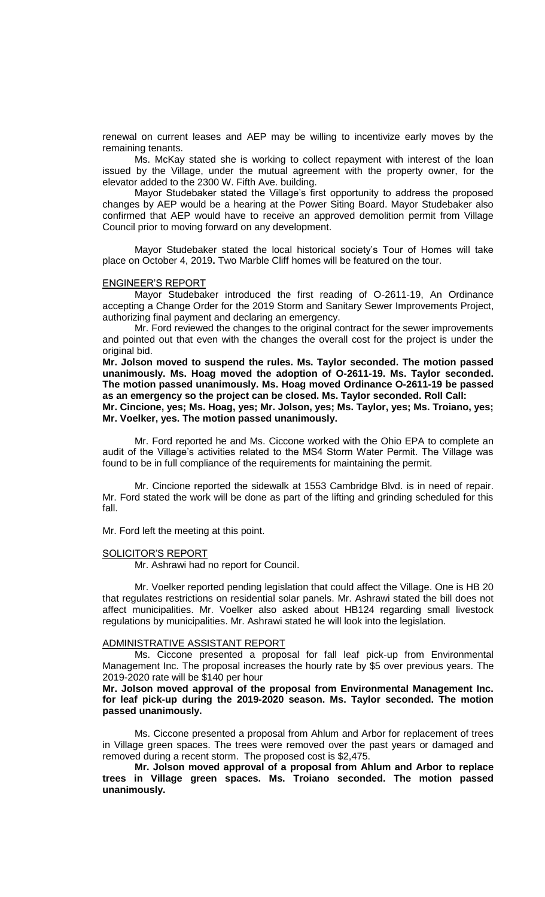renewal on current leases and AEP may be willing to incentivize early moves by the remaining tenants.

Ms. McKay stated she is working to collect repayment with interest of the loan issued by the Village, under the mutual agreement with the property owner, for the elevator added to the 2300 W. Fifth Ave. building.

Mayor Studebaker stated the Village's first opportunity to address the proposed changes by AEP would be a hearing at the Power Siting Board. Mayor Studebaker also confirmed that AEP would have to receive an approved demolition permit from Village Council prior to moving forward on any development.

Mayor Studebaker stated the local historical society's Tour of Homes will take place on October 4, 2019**.** Two Marble Cliff homes will be featured on the tour.

#### ENGINEER'S REPORT

Mayor Studebaker introduced the first reading of O-2611-19, An Ordinance accepting a Change Order for the 2019 Storm and Sanitary Sewer Improvements Project, authorizing final payment and declaring an emergency.

Mr. Ford reviewed the changes to the original contract for the sewer improvements and pointed out that even with the changes the overall cost for the project is under the original bid.

**Mr. Jolson moved to suspend the rules. Ms. Taylor seconded. The motion passed unanimously. Ms. Hoag moved the adoption of O-2611-19. Ms. Taylor seconded. The motion passed unanimously. Ms. Hoag moved Ordinance O-2611-19 be passed as an emergency so the project can be closed. Ms. Taylor seconded. Roll Call: Mr. Cincione, yes; Ms. Hoag, yes; Mr. Jolson, yes; Ms. Taylor, yes; Ms. Troiano, yes; Mr. Voelker, yes. The motion passed unanimously.**

Mr. Ford reported he and Ms. Ciccone worked with the Ohio EPA to complete an audit of the Village's activities related to the MS4 Storm Water Permit. The Village was found to be in full compliance of the requirements for maintaining the permit.

Mr. Cincione reported the sidewalk at 1553 Cambridge Blvd. is in need of repair. Mr. Ford stated the work will be done as part of the lifting and grinding scheduled for this fall.

Mr. Ford left the meeting at this point.

#### SOLICITOR'S REPORT

Mr. Ashrawi had no report for Council.

Mr. Voelker reported pending legislation that could affect the Village. One is HB 20 that regulates restrictions on residential solar panels. Mr. Ashrawi stated the bill does not affect municipalities. Mr. Voelker also asked about HB124 regarding small livestock regulations by municipalities. Mr. Ashrawi stated he will look into the legislation.

#### ADMINISTRATIVE ASSISTANT REPORT

Ms. Ciccone presented a proposal for fall leaf pick-up from Environmental Management Inc. The proposal increases the hourly rate by \$5 over previous years. The 2019-2020 rate will be \$140 per hour

**Mr. Jolson moved approval of the proposal from Environmental Management Inc. for leaf pick-up during the 2019-2020 season. Ms. Taylor seconded. The motion passed unanimously.**

Ms. Ciccone presented a proposal from Ahlum and Arbor for replacement of trees in Village green spaces. The trees were removed over the past years or damaged and removed during a recent storm. The proposed cost is \$2,475.

**Mr. Jolson moved approval of a proposal from Ahlum and Arbor to replace trees in Village green spaces. Ms. Troiano seconded. The motion passed unanimously.**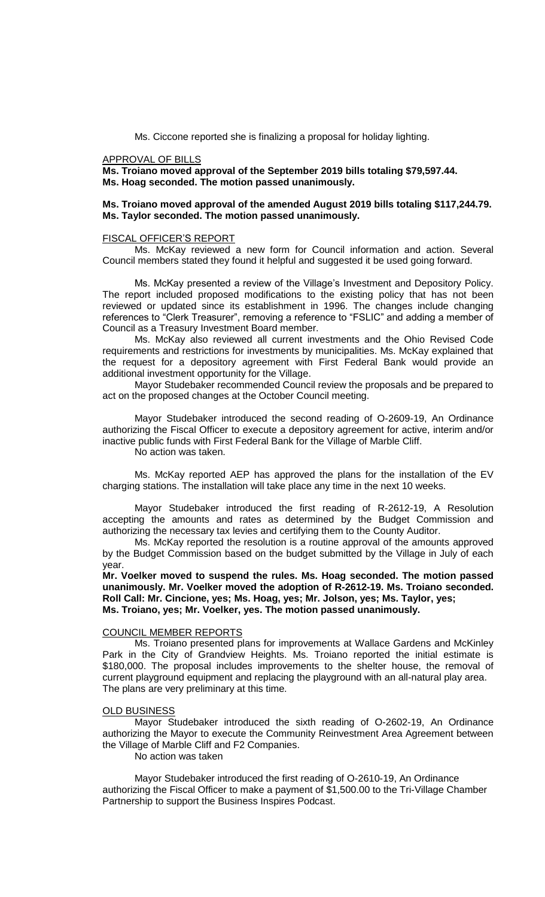Ms. Ciccone reported she is finalizing a proposal for holiday lighting.

#### APPROVAL OF BILLS

**Ms. Troiano moved approval of the September 2019 bills totaling \$79,597.44. Ms. Hoag seconded. The motion passed unanimously.**

## **Ms. Troiano moved approval of the amended August 2019 bills totaling \$117,244.79. Ms. Taylor seconded. The motion passed unanimously.**

### FISCAL OFFICER'S REPORT

Ms. McKay reviewed a new form for Council information and action. Several Council members stated they found it helpful and suggested it be used going forward.

Ms. McKay presented a review of the Village's Investment and Depository Policy. The report included proposed modifications to the existing policy that has not been reviewed or updated since its establishment in 1996. The changes include changing references to "Clerk Treasurer", removing a reference to "FSLIC" and adding a member of Council as a Treasury Investment Board member.

Ms. McKay also reviewed all current investments and the Ohio Revised Code requirements and restrictions for investments by municipalities. Ms. McKay explained that the request for a depository agreement with First Federal Bank would provide an additional investment opportunity for the Village.

Mayor Studebaker recommended Council review the proposals and be prepared to act on the proposed changes at the October Council meeting.

Mayor Studebaker introduced the second reading of O-2609-19, An Ordinance authorizing the Fiscal Officer to execute a depository agreement for active, interim and/or inactive public funds with First Federal Bank for the Village of Marble Cliff. No action was taken.

Ms. McKay reported AEP has approved the plans for the installation of the EV charging stations. The installation will take place any time in the next 10 weeks.

Mayor Studebaker introduced the first reading of R-2612-19, A Resolution accepting the amounts and rates as determined by the Budget Commission and authorizing the necessary tax levies and certifying them to the County Auditor.

Ms. McKay reported the resolution is a routine approval of the amounts approved by the Budget Commission based on the budget submitted by the Village in July of each year.

**Mr. Voelker moved to suspend the rules. Ms. Hoag seconded. The motion passed unanimously. Mr. Voelker moved the adoption of R-2612-19. Ms. Troiano seconded. Roll Call: Mr. Cincione, yes; Ms. Hoag, yes; Mr. Jolson, yes; Ms. Taylor, yes; Ms. Troiano, yes; Mr. Voelker, yes. The motion passed unanimously.**

# COUNCIL MEMBER REPORTS

Ms. Troiano presented plans for improvements at Wallace Gardens and McKinley Park in the City of Grandview Heights. Ms. Troiano reported the initial estimate is \$180,000. The proposal includes improvements to the shelter house, the removal of current playground equipment and replacing the playground with an all-natural play area. The plans are very preliminary at this time.

#### OLD BUSINESS

Mayor Studebaker introduced the sixth reading of O-2602-19, An Ordinance authorizing the Mayor to execute the Community Reinvestment Area Agreement between the Village of Marble Cliff and F2 Companies.

No action was taken

Mayor Studebaker introduced the first reading of O-2610-19, An Ordinance authorizing the Fiscal Officer to make a payment of \$1,500.00 to the Tri-Village Chamber Partnership to support the Business Inspires Podcast.